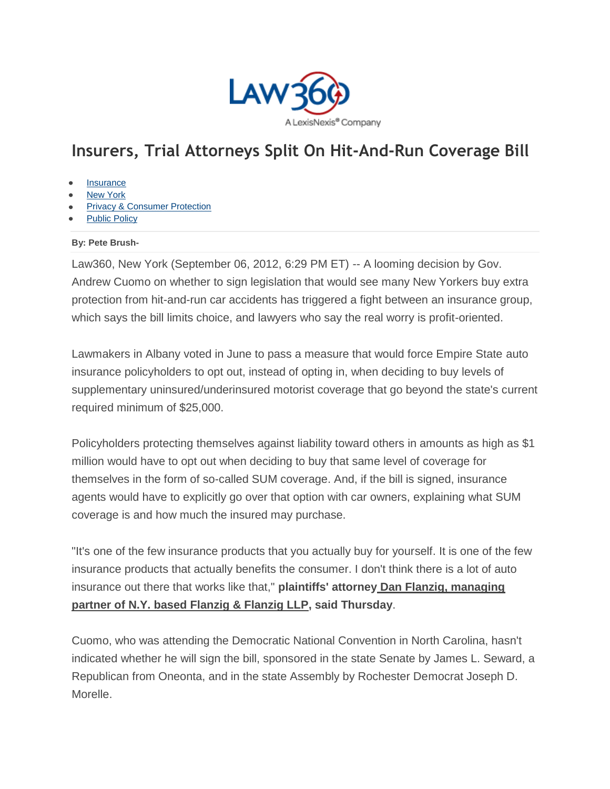

## **Insurers, Trial Attorneys Split On Hit-And-Run Coverage Bill**

- **[Insurance](http://www.law360.com/insurance)**
- [New York](http://www.law360.com/newyork)
- [Privacy & Consumer Protection](http://www.law360.com/privacy)
- [Public Policy](http://www.law360.com/publicpolicy)

## **By: Pete Brush-**

Law360, New York (September 06, 2012, 6:29 PM ET) -- A looming decision by Gov. Andrew Cuomo on whether to sign legislation that would see many New Yorkers buy extra protection from hit-and-run car accidents has triggered a fight between an insurance group, which says the bill limits choice, and lawyers who say the real worry is profit-oriented.

Lawmakers in Albany voted in June to pass a measure that would force Empire State auto insurance policyholders to opt out, instead of opting in, when deciding to buy levels of supplementary uninsured/underinsured motorist coverage that go beyond the state's current required minimum of \$25,000.

Policyholders protecting themselves against liability toward others in amounts as high as \$1 million would have to opt out when deciding to buy that same level of coverage for themselves in the form of so-called SUM coverage. And, if the bill is signed, insurance agents would have to explicitly go over that option with car owners, explaining what SUM coverage is and how much the insured may purchase.

"It's one of the few insurance products that you actually buy for yourself. It is one of the few insurance products that actually benefits the consumer. I don't think there is a lot of auto insurance out there that works like that," **plaintiffs' attorney Dan Flanzig, managing partner of N.Y. based Flanzig & Flanzig LLP, said Thursday**.

Cuomo, who was attending the Democratic National Convention in North Carolina, hasn't indicated whether he will sign the bill, sponsored in the state Senate by James L. Seward, a Republican from Oneonta, and in the state Assembly by Rochester Democrat Joseph D. Morelle.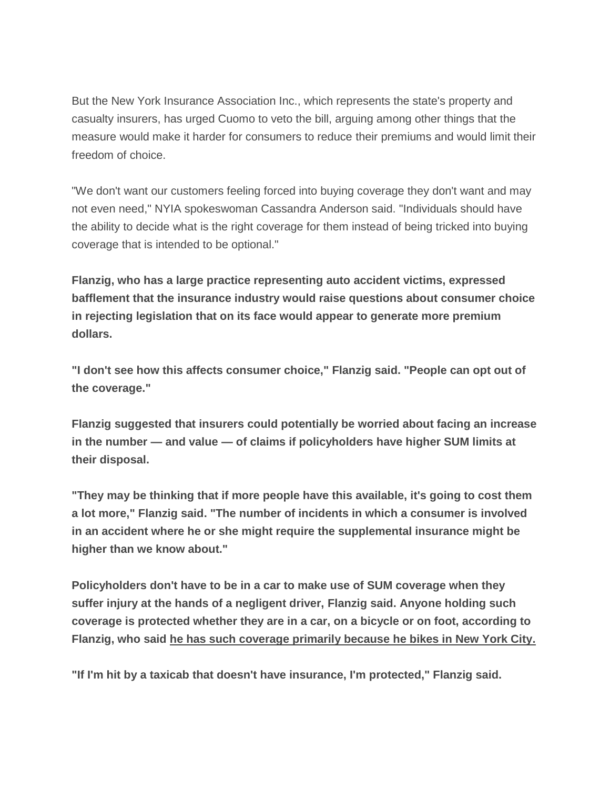But the New York Insurance Association Inc., which represents the state's property and casualty insurers, has urged Cuomo to veto the bill, arguing among other things that the measure would make it harder for consumers to reduce their premiums and would limit their freedom of choice.

"We don't want our customers feeling forced into buying coverage they don't want and may not even need," NYIA spokeswoman Cassandra Anderson said. "Individuals should have the ability to decide what is the right coverage for them instead of being tricked into buying coverage that is intended to be optional."

**Flanzig, who has a large practice representing auto accident victims, expressed bafflement that the insurance industry would raise questions about consumer choice in rejecting legislation that on its face would appear to generate more premium dollars.**

**"I don't see how this affects consumer choice," Flanzig said. "People can opt out of the coverage."**

**Flanzig suggested that insurers could potentially be worried about facing an increase in the number — and value — of claims if policyholders have higher SUM limits at their disposal.**

**"They may be thinking that if more people have this available, it's going to cost them a lot more," Flanzig said. "The number of incidents in which a consumer is involved in an accident where he or she might require the supplemental insurance might be higher than we know about."**

**Policyholders don't have to be in a car to make use of SUM coverage when they suffer injury at the hands of a negligent driver, Flanzig said. Anyone holding such coverage is protected whether they are in a car, on a bicycle or on foot, according to Flanzig, who said he has such coverage primarily because he bikes in New York City.**

**"If I'm hit by a taxicab that doesn't have insurance, I'm protected," Flanzig said.**